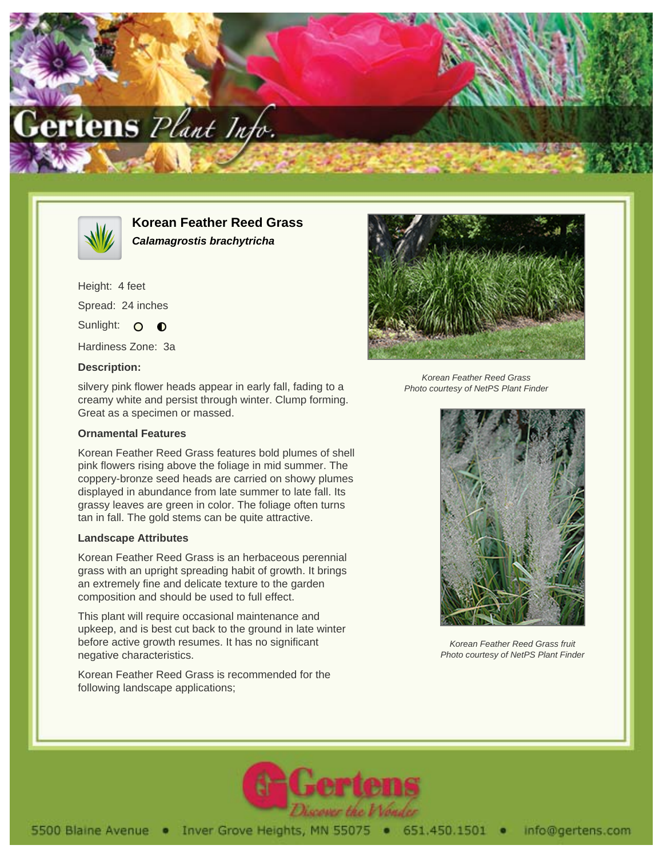



**Korean Feather Reed Grass Calamagrostis brachytricha**

Height: 4 feet Spread: 24 inches Sunlight: O **O** 

Hardiness Zone: 3a

## **Description:**

silvery pink flower heads appear in early fall, fading to a creamy white and persist through winter. Clump forming. Great as a specimen or massed.

## **Ornamental Features**

Korean Feather Reed Grass features bold plumes of shell pink flowers rising above the foliage in mid summer. The coppery-bronze seed heads are carried on showy plumes displayed in abundance from late summer to late fall. Its grassy leaves are green in color. The foliage often turns tan in fall. The gold stems can be quite attractive.

## **Landscape Attributes**

Korean Feather Reed Grass is an herbaceous perennial grass with an upright spreading habit of growth. It brings an extremely fine and delicate texture to the garden composition and should be used to full effect.

This plant will require occasional maintenance and upkeep, and is best cut back to the ground in late winter before active growth resumes. It has no significant negative characteristics.

Korean Feather Reed Grass is recommended for the following landscape applications;



Korean Feather Reed Grass Photo courtesy of NetPS Plant Finder



Korean Feather Reed Grass fruit Photo courtesy of NetPS Plant Finder